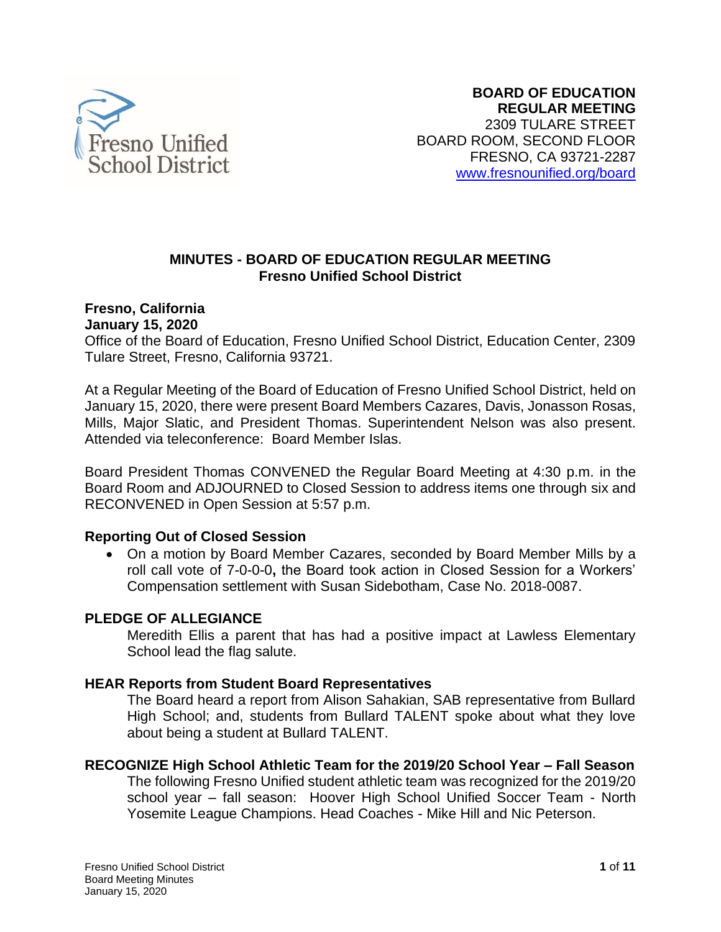

## **MINUTES - BOARD OF EDUCATION REGULAR MEETING Fresno Unified School District**

# **Fresno, California**

#### **January 15, 2020**

Office of the Board of Education, Fresno Unified School District, Education Center, 2309 Tulare Street, Fresno, California 93721.

 Attended via teleconference: Board Member Islas. At a Regular Meeting of the Board of Education of Fresno Unified School District, held on January 15, 2020, there were present Board Members Cazares, Davis, Jonasson Rosas, Mills, Major Slatic, and President Thomas. Superintendent Nelson was also present.

 Board Room and ADJOURNED to Closed Session to address items one through six and Board President Thomas CONVENED the Regular Board Meeting at 4:30 p.m. in the RECONVENED in Open Session at 5:57 p.m.

## **Reporting Out of Closed Session**

 • On a motion by Board Member Cazares, seconded by Board Member Mills by a roll call vote of 7-0-0-0**,** the Board took action in Closed Session for a Workers' Compensation settlement with Susan Sidebotham, Case No. 2018-0087.

## **PLEDGE OF ALLEGIANCE**

 Meredith Ellis a parent that has had a positive impact at Lawless Elementary School lead the flag salute.

## **HEAR Reports from Student Board Representatives**

 The Board heard a report from Alison Sahakian, SAB representative from Bullard High School; and, students from Bullard TALENT spoke about what they love about being a student at Bullard TALENT.

## **RECOGNIZE High School Athletic Team for the 2019/20 School Year – Fall Season**

 The following Fresno Unified student athletic team was recognized for the 2019/20 school year – fall season: Hoover High School Unified Soccer Team - North Yosemite League Champions. Head Coaches - Mike Hill and Nic Peterson.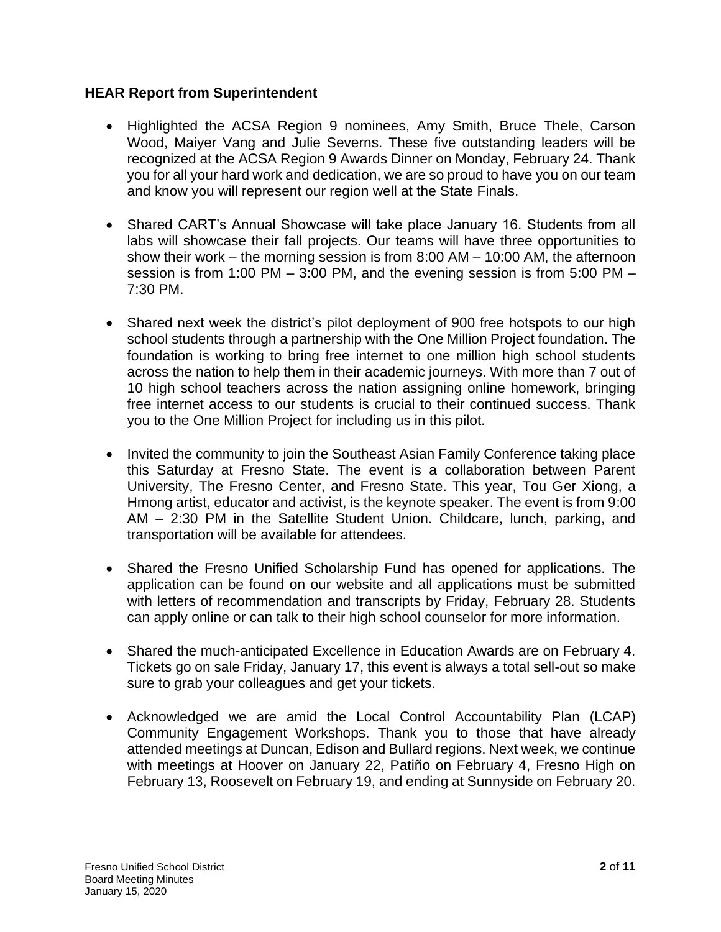# **HEAR Report from Superintendent**

- • Highlighted the ACSA Region 9 nominees, Amy Smith, Bruce Thele, Carson Wood, Maiyer Vang and Julie Severns. These five outstanding leaders will be recognized at the ACSA Region 9 Awards Dinner on Monday, February 24. Thank you for all your hard work and dedication, we are so proud to have you on our team and know you will represent our region well at the State Finals.
- • Shared CART's Annual Showcase will take place January 16. Students from all labs will showcase their fall projects. Our teams will have three opportunities to show their work – the morning session is from 8:00 AM – 10:00 AM, the afternoon session is from 1:00 PM – 3:00 PM, and the evening session is from 5:00 PM – 7:30 PM.
- • Shared next week the district's pilot deployment of 900 free hotspots to our high school students through a partnership with the One Million Project foundation. The foundation is working to bring free internet to one million high school students across the nation to help them in their academic journeys. With more than 7 out of 10 high school teachers across the nation assigning online homework, bringing free internet access to our students is crucial to their continued success. Thank you to the One Million Project for including us in this pilot.
- • Invited the community to join the Southeast Asian Family Conference taking place this Saturday at Fresno State. The event is a collaboration between Parent University, The Fresno Center, and Fresno State. This year, Tou Ger Xiong, a Hmong artist, educator and activist, is the keynote speaker. The event is from 9:00 AM – 2:30 PM in the Satellite Student Union. Childcare, lunch, parking, and transportation will be available for attendees.
- • Shared the Fresno Unified Scholarship Fund has opened for applications. The application can be found on our website and all applications must be submitted with letters of recommendation and transcripts by Friday, February 28. Students can apply online or can talk to their high school counselor for more information.
- • Shared the much-anticipated Excellence in Education Awards are on February 4. Tickets go on sale Friday, January 17, this event is always a total sell-out so make sure to grab your colleagues and get your tickets.
- • Acknowledged we are amid the Local Control Accountability Plan (LCAP) Community Engagement Workshops. Thank you to those that have already attended meetings at Duncan, Edison and Bullard regions. Next week, we continue with meetings at Hoover on January 22, Patiño on February 4, Fresno High on February 13, Roosevelt on February 19, and ending at Sunnyside on February 20.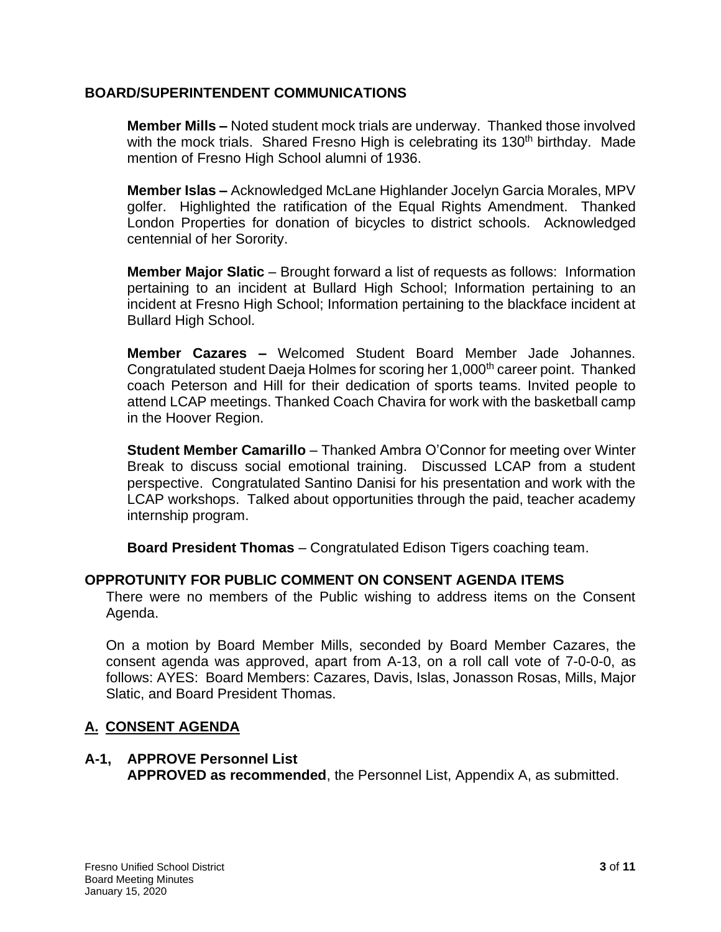## **BOARD/SUPERINTENDENT COMMUNICATIONS**

 **Member Mills –** Noted student mock trials are underway. Thanked those involved with the mock trials. Shared Fresno High is celebrating its 130<sup>th</sup> birthday. Made mention of Fresno High School alumni of 1936.

 **Member Islas –** Acknowledged McLane Highlander Jocelyn Garcia Morales, MPV golfer. Highlighted the ratification of the Equal Rights Amendment. Thanked London Properties for donation of bicycles to district schools. Acknowledged centennial of her Sorority.

 pertaining to an incident at Bullard High School; Information pertaining to an **Member Major Slatic** – Brought forward a list of requests as follows: Information incident at Fresno High School; Information pertaining to the blackface incident at Bullard High School.

 **Member Cazares –** Welcomed Student Board Member Jade Johannes. Congratulated student Daeja Holmes for scoring her 1,000<sup>th</sup> career point. Thanked coach Peterson and Hill for their dedication of sports teams. Invited people to attend LCAP meetings. Thanked Coach Chavira for work with the basketball camp in the Hoover Region.

 Break to discuss social emotional training. Discussed LCAP from a student perspective. Congratulated Santino Danisi for his presentation and work with the LCAP workshops. Talked about opportunities through the paid, teacher academy **Student Member Camarillo** – Thanked Ambra O'Connor for meeting over Winter internship program.

**Board President Thomas** – Congratulated Edison Tigers coaching team.

# **OPPROTUNITY FOR PUBLIC COMMENT ON CONSENT AGENDA ITEMS**

 There were no members of the Public wishing to address items on the Consent Agenda.

 On a motion by Board Member Mills, seconded by Board Member Cazares, the consent agenda was approved, apart from A-13, on a roll call vote of 7-0-0-0, as follows: AYES: Board Members: Cazares, Davis, Islas, Jonasson Rosas, Mills, Major Slatic, and Board President Thomas.

# **A. CONSENT AGENDA**

## **A-1, APPROVE Personnel List APPROVED as recommended**, the Personnel List, Appendix A, as submitted.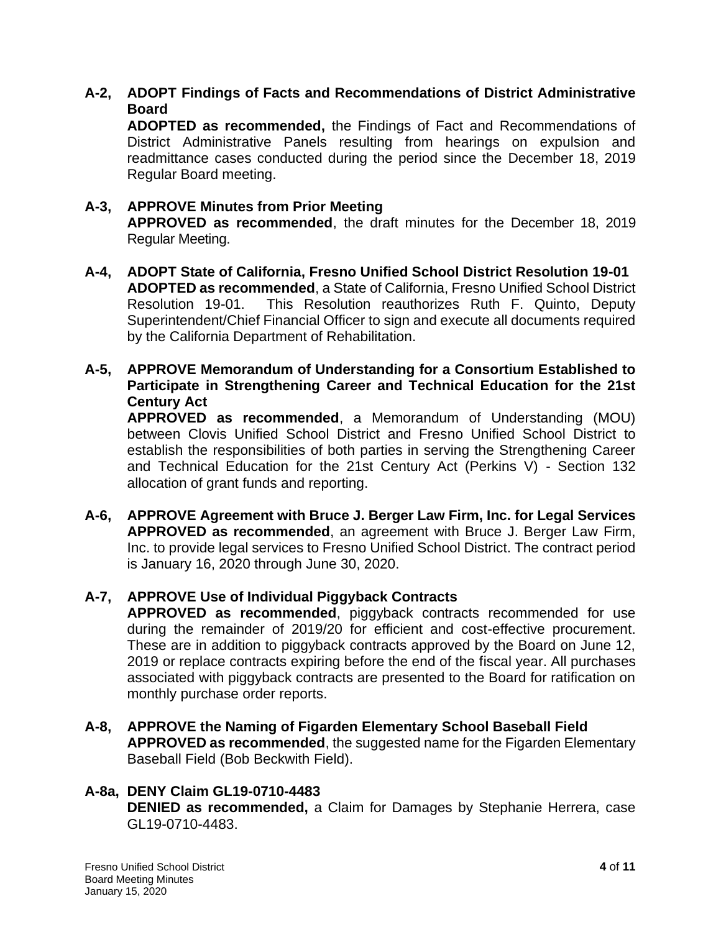# **A-2, ADOPT Findings of Facts and Recommendations of District Administrative Board**

 **ADOPTED as recommended,** the Findings of Fact and Recommendations of District Administrative Panels resulting from hearings on expulsion and readmittance cases conducted during the period since the December 18, 2019 Regular Board meeting.

#### **APPROVED as recommended**, the draft minutes for the December 18, 2019 **A-3, APPROVE Minutes from Prior Meeting**  Regular Meeting.

- **ADOPTED as recommended**, a State of California, Fresno Unified School District Superintendent/Chief Financial Officer to sign and execute all documents required **A-4, ADOPT State of California, Fresno Unified School District Resolution 19-01**  Resolution 19-01. This Resolution reauthorizes Ruth F. Quinto, Deputy by the California Department of Rehabilitation.
- **Participate in Strengthening Career and Technical Education for the 21st A-5, APPROVE Memorandum of Understanding for a Consortium Established to Century Act**

 between Clovis Unified School District and Fresno Unified School District to establish the responsibilities of both parties in serving the Strengthening Career and Technical Education for the 21st Century Act (Perkins V) - Section 132 **APPROVED as recommended**, a Memorandum of Understanding (MOU) allocation of grant funds and reporting.

 **A-6, APPROVE Agreement with Bruce J. Berger Law Firm, Inc. for Legal Services APPROVED as recommended**, an agreement with Bruce J. Berger Law Firm, Inc. to provide legal services to Fresno Unified School District. The contract period is January 16, 2020 through June 30, 2020.

# **A-7, APPROVE Use of Individual Piggyback Contracts**

 **APPROVED as recommended**, piggyback contracts recommended for use during the remainder of 2019/20 for efficient and cost-effective procurement. These are in addition to piggyback contracts approved by the Board on June 12, 2019 or replace contracts expiring before the end of the fiscal year. All purchases associated with piggyback contracts are presented to the Board for ratification on monthly purchase order reports.

 **APPROVED as recommended**, the suggested name for the Figarden Elementary **A-8, APPROVE the Naming of Figarden Elementary School Baseball Field**  Baseball Field (Bob Beckwith Field).

# **A-8a, DENY Claim GL19-0710-4483**

 **DENIED as recommended,** a Claim for Damages by Stephanie Herrera, case GL19-0710-4483.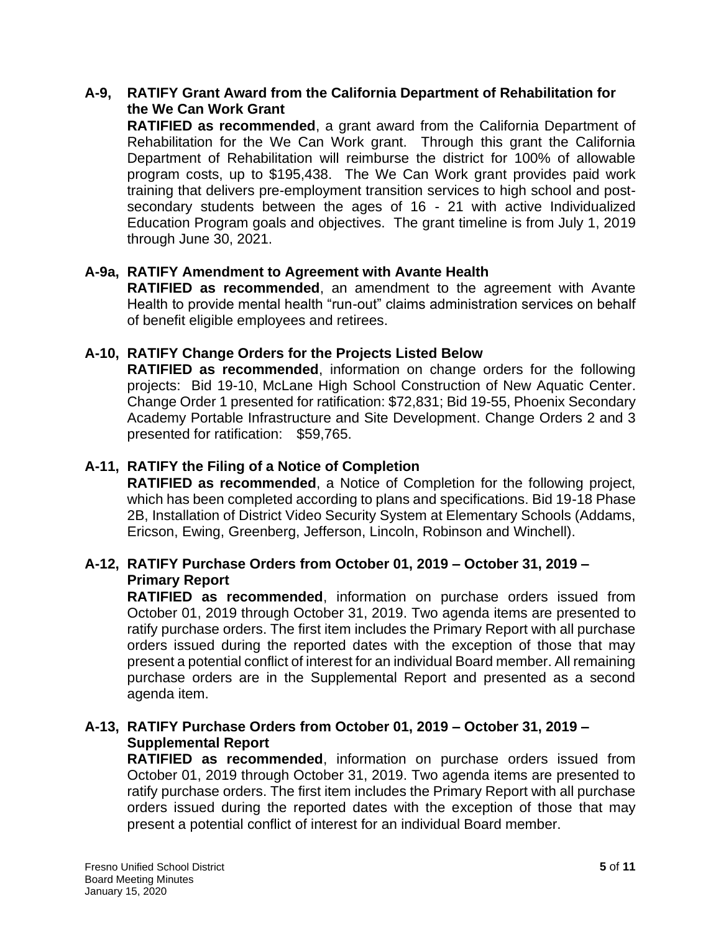## **A-9, RATIFY Grant Award from the California Department of Rehabilitation for the We Can Work Grant**

 **RATIFIED as recommended**, a grant award from the California Department of Rehabilitation for the We Can Work grant. Through this grant the California Department of Rehabilitation will reimburse the district for 100% of allowable program costs, up to \$195,438. The We Can Work grant provides paid work training that delivers pre-employment transition services to high school and post- secondary students between the ages of 16 - 21 with active Individualized Education Program goals and objectives. The grant timeline is from July 1, 2019 through June 30, 2021.

# **A-9a, RATIFY Amendment to Agreement with Avante Health**

 **RATIFIED as recommended**, an amendment to the agreement with Avante Health to provide mental health "run-out" claims administration services on behalf of benefit eligible employees and retirees.

# **A-10, RATIFY Change Orders for the Projects Listed Below**

 **RATIFIED as recommended**, information on change orders for the following projects: Bid 19-10, McLane High School Construction of New Aquatic Center. Change Order 1 presented for ratification: \$72,831; Bid 19-55, Phoenix Secondary Academy Portable Infrastructure and Site Development. Change Orders 2 and 3 presented for ratification: \$59,765.

# **A-11, RATIFY the Filing of a Notice of Completion**

 **RATIFIED as recommended**, a Notice of Completion for the following project, which has been completed according to plans and specifications. Bid 19-18 Phase 2B, Installation of District Video Security System at Elementary Schools (Addams, Ericson, Ewing, Greenberg, Jefferson, Lincoln, Robinson and Winchell).

# **A-12, RATIFY Purchase Orders from October 01, 2019 – October 31, 2019 – Primary Report**

 **RATIFIED as recommended**, information on purchase orders issued from October 01, 2019 through October 31, 2019. Two agenda items are presented to ratify purchase orders. The first item includes the Primary Report with all purchase orders issued during the reported dates with the exception of those that may present a potential conflict of interest for an individual Board member. All remaining purchase orders are in the Supplemental Report and presented as a second agenda item.

# **A-13, RATIFY Purchase Orders from October 01, 2019 – October 31, 2019 – Supplemental Report**

 **RATIFIED as recommended**, information on purchase orders issued from October 01, 2019 through October 31, 2019. Two agenda items are presented to ratify purchase orders. The first item includes the Primary Report with all purchase orders issued during the reported dates with the exception of those that may present a potential conflict of interest for an individual Board member.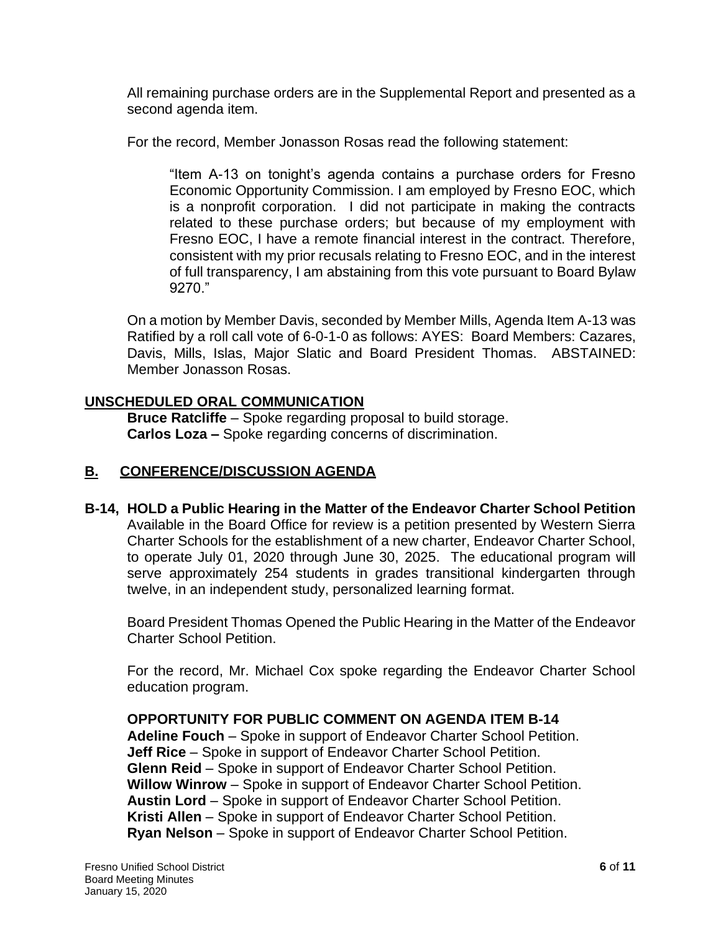All remaining purchase orders are in the Supplemental Report and presented as a second agenda item.

For the record, Member Jonasson Rosas read the following statement:

 "Item A-13 on tonight's agenda contains a purchase orders for Fresno Economic Opportunity Commission. I am employed by Fresno EOC, which is a nonprofit corporation. I did not participate in making the contracts related to these purchase orders; but because of my employment with Fresno EOC, I have a remote financial interest in the contract. Therefore, consistent with my prior recusals relating to Fresno EOC, and in the interest of full transparency, I am abstaining from this vote pursuant to Board Bylaw 9270."

 On a motion by Member Davis, seconded by Member Mills, Agenda Item A-13 was Ratified by a roll call vote of 6-0-1-0 as follows: AYES: Board Members: Cazares, Davis, Mills, Islas, Major Slatic and Board President Thomas. ABSTAINED: Member Jonasson Rosas.

# **UNSCHEDULED ORAL COMMUNICATION**

**Bruce Ratcliffe** – Spoke regarding proposal to build storage. **Carlos Loza –** Spoke regarding concerns of discrimination.

# **B. CONFERENCE/DISCUSSION AGENDA**

## **B-14, HOLD a Public Hearing in the Matter of the Endeavor Charter School Petition**  Available in the Board Office for review is a petition presented by Western Sierra Charter Schools for the establishment of a new charter, Endeavor Charter School, to operate July 01, 2020 through June 30, 2025. The educational program will serve approximately 254 students in grades transitional kindergarten through twelve, in an independent study, personalized learning format.

 Board President Thomas Opened the Public Hearing in the Matter of the Endeavor Charter School Petition.

 For the record, Mr. Michael Cox spoke regarding the Endeavor Charter School education program.

# **OPPORTUNITY FOR PUBLIC COMMENT ON AGENDA ITEM B-14**

**Adeline Fouch** – Spoke in support of Endeavor Charter School Petition. **Jeff Rice** – Spoke in support of Endeavor Charter School Petition. **Glenn Reid** – Spoke in support of Endeavor Charter School Petition. **Willow Winrow** – Spoke in support of Endeavor Charter School Petition. **Austin Lord** – Spoke in support of Endeavor Charter School Petition. **Kristi Allen** – Spoke in support of Endeavor Charter School Petition. **Ryan Nelson** – Spoke in support of Endeavor Charter School Petition.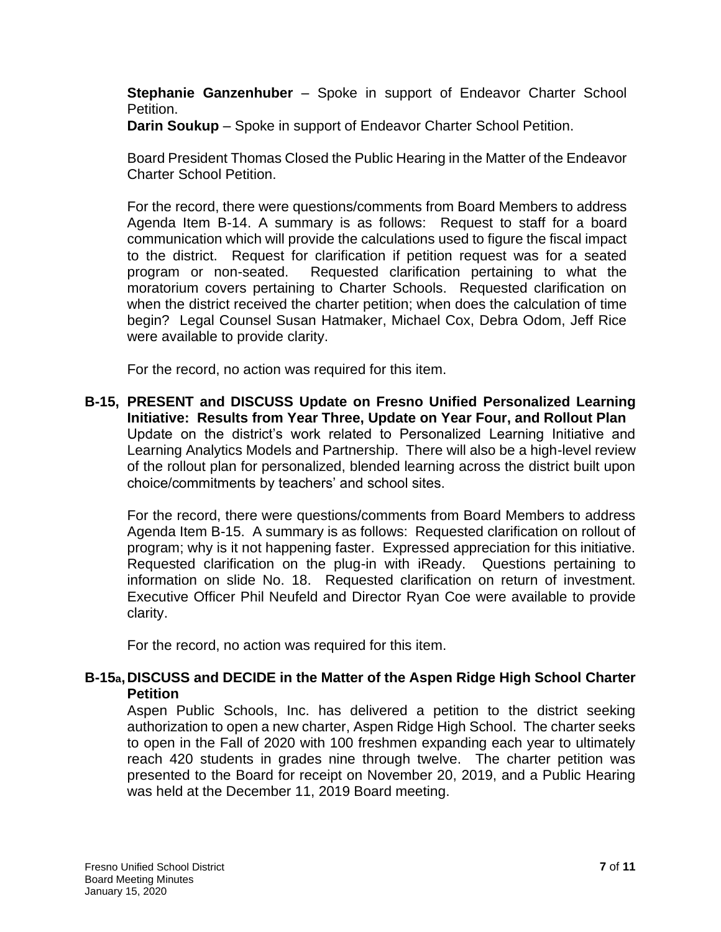**Stephanie Ganzenhuber** – Spoke in support of Endeavor Charter School Petition.

**Darin Soukup** – Spoke in support of Endeavor Charter School Petition.

 Board President Thomas Closed the Public Hearing in the Matter of the Endeavor Charter School Petition.

 For the record, there were questions/comments from Board Members to address Agenda Item B-14. A summary is as follows: Request to staff for a board communication which will provide the calculations used to figure the fiscal impact to the district. Request for clarification if petition request was for a seated program or non-seated. Requested clarification pertaining to what the moratorium covers pertaining to Charter Schools. Requested clarification on when the district received the charter petition; when does the calculation of time begin? Legal Counsel Susan Hatmaker, Michael Cox, Debra Odom, Jeff Rice were available to provide clarity.

For the record, no action was required for this item.

 **B-15, PRESENT and DISCUSS Update on Fresno Unified Personalized Learning**  Update on the district's work related to Personalized Learning Initiative and Learning Analytics Models and Partnership. There will also be a high-level review of the rollout plan for personalized, blended learning across the district built upon **Initiative: Results from Year Three, Update on Year Four, and Rollout Plan**  choice/commitments by teachers' and school sites.

 For the record, there were questions/comments from Board Members to address Agenda Item B-15. A summary is as follows: Requested clarification on rollout of program; why is it not happening faster. Expressed appreciation for this initiative. program; why is it not happening faster. Expressed appreciation for this initiative.<br>Requested clarification on the plug-in with iReady. Questions pertaining to information on slide No. 18. Requested clarification on return of investment. Executive Officer Phil Neufeld and Director Ryan Coe were available to provide clarity.

For the record, no action was required for this item.

# **B-15a,DISCUSS and DECIDE in the Matter of the Aspen Ridge High School Charter Petition**

 Aspen Public Schools, Inc. has delivered a petition to the district seeking authorization to open a new charter, Aspen Ridge High School. The charter seeks to open in the Fall of 2020 with 100 freshmen expanding each year to ultimately reach 420 students in grades nine through twelve. The charter petition was presented to the Board for receipt on November 20, 2019, and a Public Hearing was held at the December 11, 2019 Board meeting.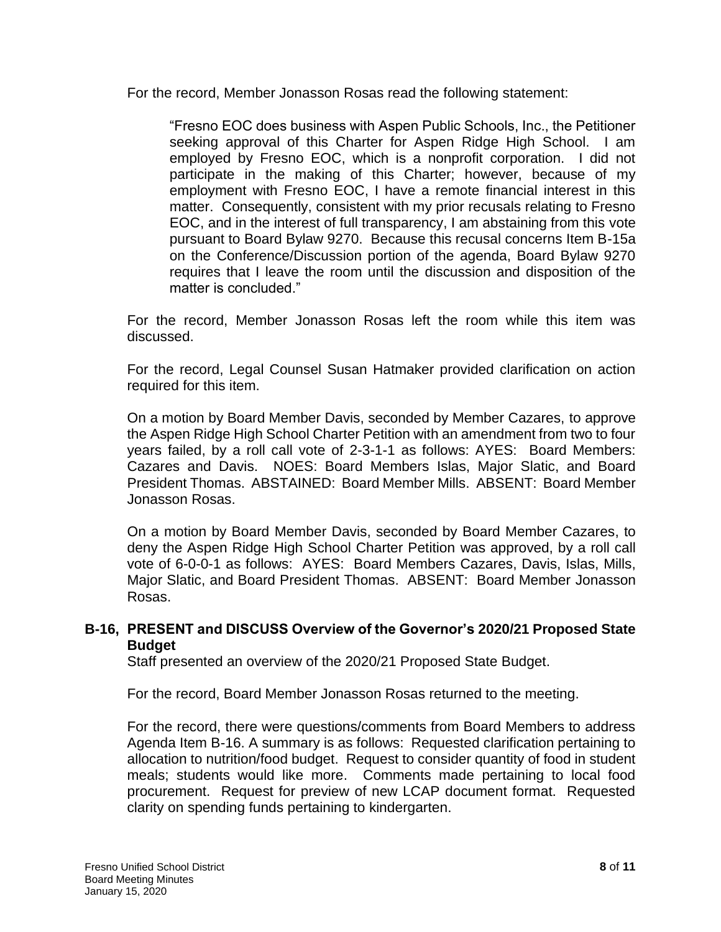For the record, Member Jonasson Rosas read the following statement:

 "Fresno EOC does business with Aspen Public Schools, Inc., the Petitioner seeking approval of this Charter for Aspen Ridge High School. I am employed by Fresno EOC, which is a nonprofit corporation. I did not participate in the making of this Charter; however, because of my employment with Fresno EOC, I have a remote financial interest in this matter. Consequently, consistent with my prior recusals relating to Fresno on the Conference/Discussion portion of the agenda, Board Bylaw 9270 requires that I leave the room until the discussion and disposition of the EOC, and in the interest of full transparency, I am abstaining from this vote pursuant to Board Bylaw 9270. Because this recusal concerns Item B-15a matter is concluded."

 For the record, Member Jonasson Rosas left the room while this item was discussed.

 For the record, Legal Counsel Susan Hatmaker provided clarification on action required for this item.

 On a motion by Board Member Davis, seconded by Member Cazares, to approve the Aspen Ridge High School Charter Petition with an amendment from two to four years failed, by a roll call vote of 2-3-1-1 as follows: AYES: Board Members: Cazares and Davis. NOES: Board Members Islas, Major Slatic, and Board President Thomas. ABSTAINED: Board Member Mills. ABSENT: Board Member Jonasson Rosas.

 On a motion by Board Member Davis, seconded by Board Member Cazares, to deny the Aspen Ridge High School Charter Petition was approved, by a roll call vote of 6-0-0-1 as follows: AYES: Board Members Cazares, Davis, Islas, Mills, Major Slatic, and Board President Thomas. ABSENT: Board Member Jonasson Rosas.

# **B-16, PRESENT and DISCUSS Overview of the Governor's 2020/21 Proposed State Budget**

Staff presented an overview of the 2020/21 Proposed State Budget.

For the record, Board Member Jonasson Rosas returned to the meeting.

 For the record, there were questions/comments from Board Members to address Agenda Item B-16. A summary is as follows: Requested clarification pertaining to allocation to nutrition/food budget. Request to consider quantity of food in student meals; students would like more. Comments made pertaining to local food procurement. Request for preview of new LCAP document format. Requested clarity on spending funds pertaining to kindergarten.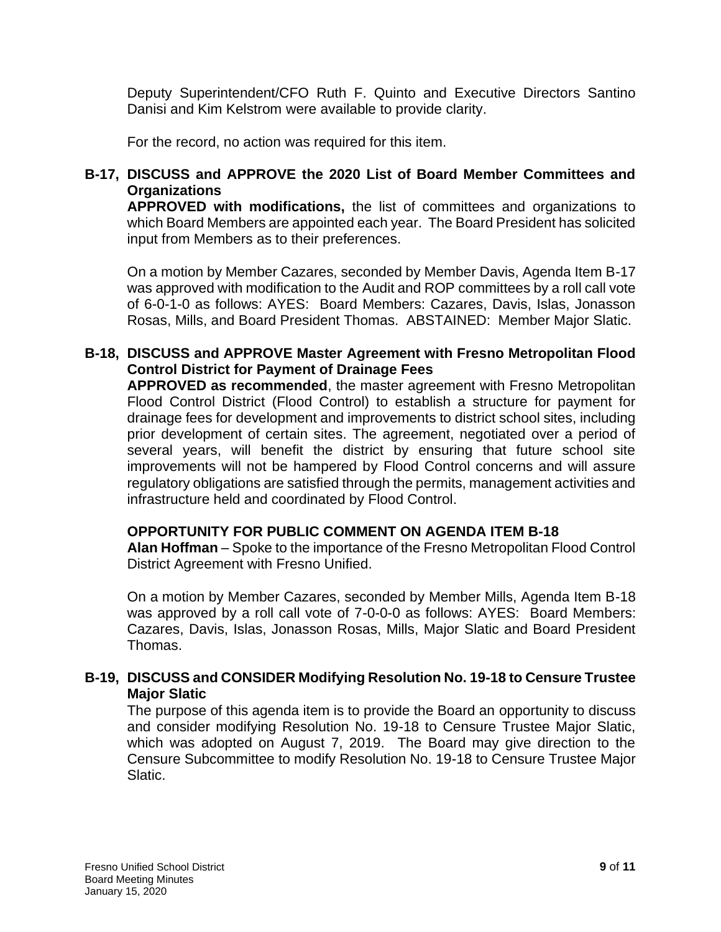Deputy Superintendent/CFO Ruth F. Quinto and Executive Directors Santino Danisi and Kim Kelstrom were available to provide clarity.

For the record, no action was required for this item.

# **B-17, DISCUSS and APPROVE the 2020 List of Board Member Committees and Organizations**

 which Board Members are appointed each year. The Board President has solicited **APPROVED with modifications,** the list of committees and organizations to input from Members as to their preferences.

 On a motion by Member Cazares, seconded by Member Davis, Agenda Item B-17 was approved with modification to the Audit and ROP committees by a roll call vote Rosas, Mills, and Board President Thomas. ABSTAINED: Member Major Slatic. of 6-0-1-0 as follows: AYES: Board Members: Cazares, Davis, Islas, Jonasson

## **B-18, DISCUSS and APPROVE Master Agreement with Fresno Metropolitan Flood Control District for Payment of Drainage Fees**

 **APPROVED as recommended**, the master agreement with Fresno Metropolitan Flood Control District (Flood Control) to establish a structure for payment for drainage fees for development and improvements to district school sites, including prior development of certain sites. The agreement, negotiated over a period of several years, will benefit the district by ensuring that future school site improvements will not be hampered by Flood Control concerns and will assure regulatory obligations are satisfied through the permits, management activities and infrastructure held and coordinated by Flood Control.

## **OPPORTUNITY FOR PUBLIC COMMENT ON AGENDA ITEM B-18**

 **Alan Hoffman** – Spoke to the importance of the Fresno Metropolitan Flood Control District Agreement with Fresno Unified.

 On a motion by Member Cazares, seconded by Member Mills, Agenda Item B-18 was approved by a roll call vote of 7-0-0-0 as follows: AYES: Board Members: Cazares, Davis, Islas, Jonasson Rosas, Mills, Major Slatic and Board President Thomas.

## **B-19, DISCUSS and CONSIDER Modifying Resolution No. 19-18 to Censure Trustee Major Slatic**

 and consider modifying Resolution No. 19-18 to Censure Trustee Major Slatic, which was adopted on August 7, 2019. The Board may give direction to the Censure Subcommittee to modify Resolution No. 19-18 to Censure Trustee Major The purpose of this agenda item is to provide the Board an opportunity to discuss Slatic.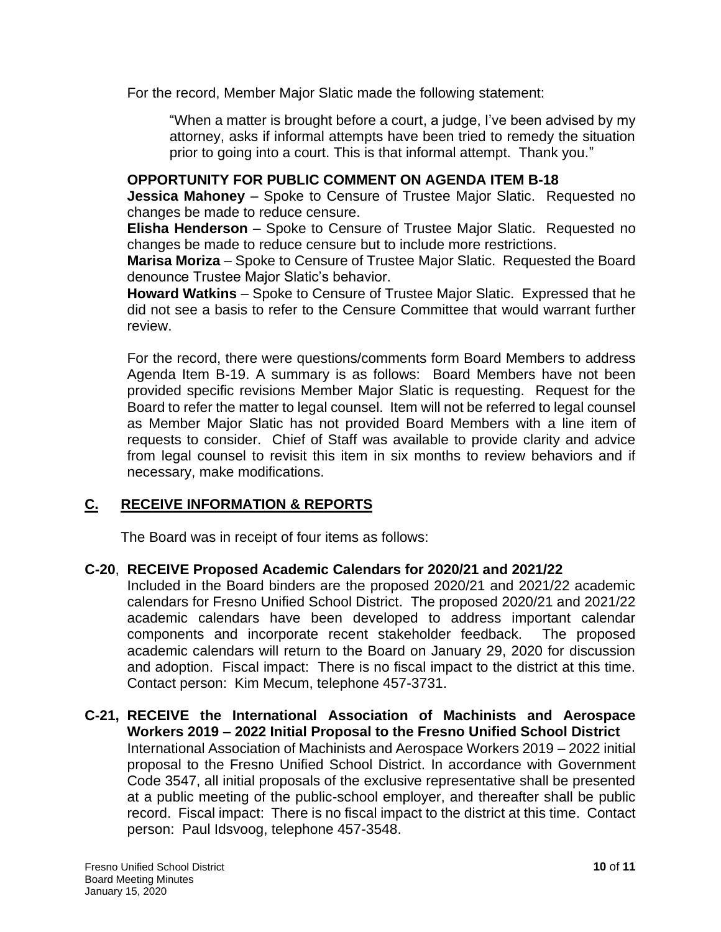For the record, Member Major Slatic made the following statement:

 "When a matter is brought before a court, a judge, I've been advised by my attorney, asks if informal attempts have been tried to remedy the situation prior to going into a court. This is that informal attempt. Thank you."

## **OPPORTUNITY FOR PUBLIC COMMENT ON AGENDA ITEM B-18**

 **Jessica Mahoney** – Spoke to Censure of Trustee Major Slatic. Requested no changes be made to reduce censure.

 **Elisha Henderson** – Spoke to Censure of Trustee Major Slatic. Requested no changes be made to reduce censure but to include more restrictions.

 **Marisa Moriza** – Spoke to Censure of Trustee Major Slatic. Requested the Board denounce Trustee Major Slatic's behavior.

 **Howard Watkins** – Spoke to Censure of Trustee Major Slatic. Expressed that he did not see a basis to refer to the Censure Committee that would warrant further review.

 For the record, there were questions/comments form Board Members to address Agenda Item B-19. A summary is as follows: Board Members have not been Board to refer the matter to legal counsel. Item will not be referred to legal counsel as Member Major Slatic has not provided Board Members with a line item of requests to consider. Chief of Staff was available to provide clarity and advice from legal counsel to revisit this item in six months to review behaviors and if provided specific revisions Member Major Slatic is requesting. Request for the necessary, make modifications.

# **C. RECEIVE INFORMATION & REPORTS**

The Board was in receipt of four items as follows:

## **C-20**, **RECEIVE Proposed Academic Calendars for 2020/21 and 2021/22**

 Included in the Board binders are the proposed 2020/21 and 2021/22 academic calendars for Fresno Unified School District. The proposed 2020/21 and 2021/22 academic calendars have been developed to address important calendar academic calendars will return to the Board on January 29, 2020 for discussion and adoption. Fiscal impact: There is no fiscal impact to the district at this time. Contact person: Kim Mecum, telephone 457-3731. components and incorporate recent stakeholder feedback. The proposed

## **C-21, RECEIVE the International Association of Machinists and Aerospace**  International Association of Machinists and Aerospace Workers 2019 – 2022 initial proposal to the Fresno Unified School District. In accordance with Government Code 3547, all initial proposals of the exclusive representative shall be presented at a public meeting of the public-school employer, and thereafter shall be public record. Fiscal impact: There is no fiscal impact to the district at this time. Contact person: Paul Idsvoog, telephone 457-3548. **Workers 2019 – 2022 Initial Proposal to the Fresno Unified School District**